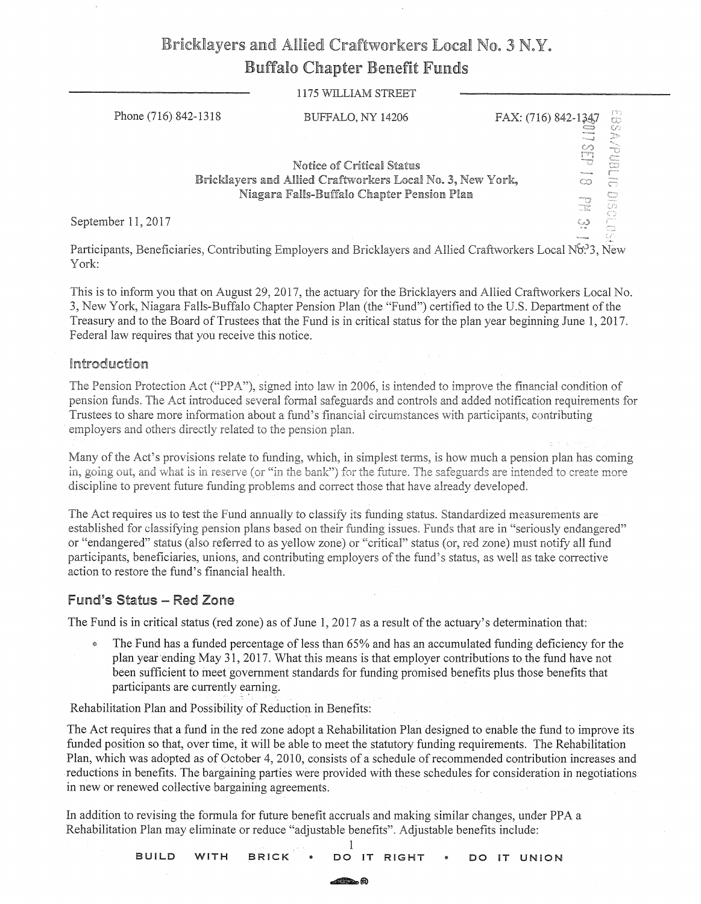# Bricklayers and Allied Craftworkers Local No. 3 N.Y. Buffalo Chapter Benefit Funds

#### 1175 WILLIAM STREET

| Phone (716) 842-1318 |  | BUFFALO, NY 14206                                                                                                                     | FAX: (716) 842-1347 |                   | $\frac{1}{2}$<br>€70                         |
|----------------------|--|---------------------------------------------------------------------------------------------------------------------------------------|---------------------|-------------------|----------------------------------------------|
|                      |  | Notice of Critical Status<br>Bricklayers and Allied Craftworkers Local No. 3, New York,<br>Niagara Falls-Buffalo Chapter Pension Plan |                     | manuel<br>œ<br>en | B<br>TO.<br>ton<br>$\mathcal{L}$<br>œ<br>UD. |
| September 11, 2017   |  |                                                                                                                                       |                     | Cað               | O                                            |
|                      |  |                                                                                                                                       |                     |                   |                                              |

Participants, Beneficiaries, Contributing Employers and Bricklayers and Allied Craftworkers Local No.<sup>3</sup>3, New York:

This is to inform you that on August 29, 2017, the actuary for the Bricklayers and Allied Craftworkers Local No. 3, New York, Niagara Falls-Buffalo Chapter Pension Plan (the "Fund") certified to the U.S. Department of the Treasury and to the Board of Trustees that the Fund is in critical status for the plan year beginning June 1, 2017. Federal law requires that you receive this notice.

#### Introduction

The Pension Protection Act ("PPA"), signed into law in 2006, is intended to improve the financial condition of pension funds. The Act introduced several formal safeguards and controls and added notification requirements for Trustees to share more information about a fund's financial circumstances with participants, contributing employers and others directly related to the pension plan.

Many of the Act's provisions relate to funding, which, in simplest tenns, is how much a pension plan has coming in, going out, and what is in reserve (or "in the bank") for the future. The safeguards are intended to create more discipline to prevent future funding problems and correct those that have already developed.

The Act requires us to test the Fund annually to classify its funding status. Standardized measurements are established for classifying pension plans based on their funding issues. Funds that are in "seriously endangered" or "endangered" status (also referred to as yellow zone) or "critical" status (or, red zone) must notify all fund participants, beneficiaries, unions, and contributing employers of the fund's status, as well as take corrective action to restore the fund's financial health.

## **Fund's Status - Red Zone**

The Fund is in critical status (red zone) as of June 1, 2017 as a result of the actuary's determination that:

• The Fund has a funded percentage of less than 65% and has an accumulated funding deficiency for the plan year ending May 31, 2017. What this means is that employer contributions to the fund have not been sufficient fo ineet government standards for funding promised benefits plus those benefits that participants are currently earning.

Rehabilitation Plan and Possibility of Reduction in Benefits:

The Act requires that a fund in the red zone adopt a Rehabilitation Plan designed to enable the fund to improve its funded position so that, over time, it will be able to meet the statutory funding requirements. The Rehabilitation Plan, which was adopted as of October 4, 2010, consists of a schedule of recommended contribution increases and . reductions in benefits. The bargaining parties were provided with these schedules for consideration in negotiations in new or renewed collective bargaining agreements.

In addition to revising the formula for future benefit accruals and making similar changes, under PP A a Rehabilitation Plan may eliminate or reduce "adjustable benefits". Adjustable benefits include:

> 1 **BUILD WITH .BRICK DO IT RIGHT** • **DO IT UNION**